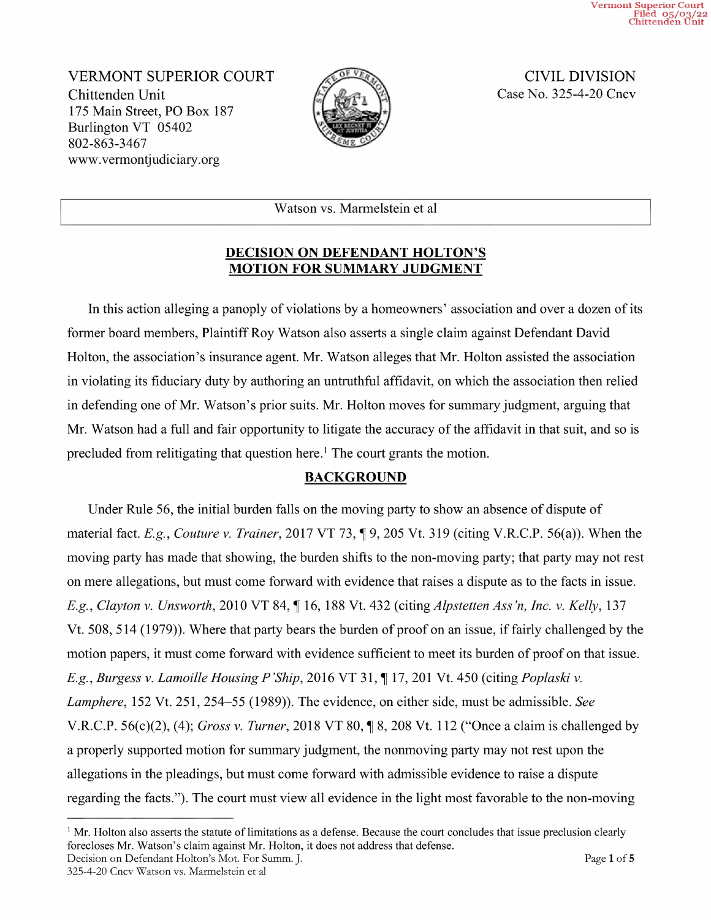Vermont Superior Court Filed 05/03/22 Chittenden Unit

VERMONT SUPERIOR COURT CIVIL DIVISION Chittenden Unit Case No. 325-4-20 Cncv 175 Main Street, PO Box 187 Burlington VT <sup>05402</sup> 802-863-3467 WWW.Vermontjudiciary.org



Watson vs. Marmelstein et a1

### DECISION ON DEFENDANT HOLTON'S MOTION FOR SUMMARY JUDGMENT

In this action alleging a panoply of violations by a homeowners' association and over a dozen of its former board members, Plaintiff Roy Watson also asserts a single claim against Defendant David Holton, the association's insurance agent. Mr. Watson alleges that Mr. Holton assisted the association in Violating its fiduciary duty by authoring an untruthful affidavit, on which the association then relied in defending one of Mr. Watson's prior suits. Mr. Holton moves for summary judgment, arguing that Mr. Watson had a full and fair opportunity to litigate the accuracy of the affidavit in that suit, and so is precluded from relitigating that question here.<sup>1</sup> The court grants the motion.

# BACKGROUND

Under Rule 56, the initial burden falls on the moving party to show an absence of dispute of material fact. E.g., Couture v. Trainer, 2017 VT 73,  $\P$ 9, 205 Vt. 319 (citing V.R.C.P. 56(a)). When the moving party has made that showing, the burden shifts to the non-moving party; that party may not rest on mere allegations, but must come forward with evidence that raises a dispute as to the facts in issue. E.g., Clayton v. Unsworth, 2010 VT 84, ¶ 16, 188 Vt. 432 (citing Alpstetten Ass'n, Inc. v. Kelly, 137 Vt. 508, <sup>514</sup> (1979)). Where that party bears the burden of proof on an issue, iffairly challenged by the motion papers, it must come forward with evidence sufficient to meet its burden of proof on that issue. E.g., Burgess v. Lamoille Housing P'Ship, 2016 VT 31, ¶ 17, 201 Vt. 450 (citing Poplaski v. Lamphere, 152 Vt. 251, 254–55 (1989)). The evidence, on either side, must be admissible. See V.R.C.P. 56(c)(2), (4); Gross v. Turner, 2018 VT 80,  $\parallel$  8, 208 Vt. 112 ("Once a claim is challenged by a properly supported motion for summary judgment, the nonmoving party may not rest upon the allegations in the pleadings, but must come forward with admissible evidence to raise a dispute regarding the facts."). The court must view all evidence in the light most favorable to the non-moving

 $<sup>1</sup>$  Mr. Holton also asserts the statute of limitations as a defense. Because the court concludes that issue preclusion clearly</sup> forecloses Mr. Watson's claim against Mr. Holton, it does not address that defense.<br>Decision on Defendant Holton's Mot. For Summ. J. Page 1 of 5

<sup>325—4—20</sup> Cncv Watson vs. Marmelstein et al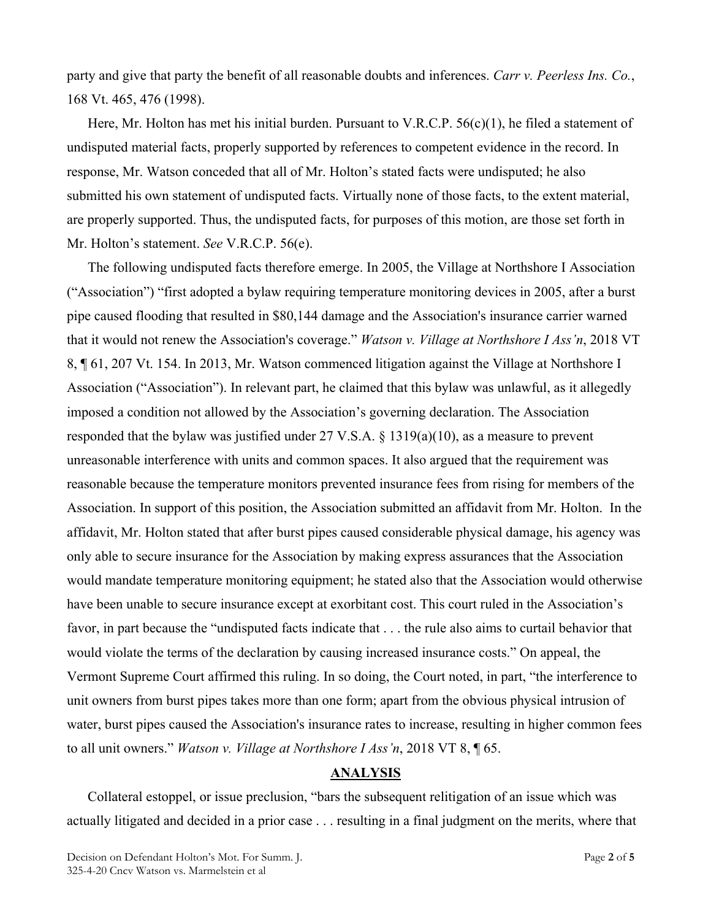party and give that party the benefit of all reasonable doubts and inferences. *Carr v. Peerless Ins. Co.*, 168 Vt. 465, 476 (1998).

Here, Mr. Holton has met his initial burden. Pursuant to V.R.C.P.  $56(c)(1)$ , he filed a statement of undisputed material facts, properly supported by references to competent evidence in the record. In response, Mr. Watson conceded that all of Mr. Holton's stated facts were undisputed; he also submitted his own statement of undisputed facts. Virtually none of those facts, to the extent material, are properly supported. Thus, the undisputed facts, for purposes of this motion, are those set forth in Mr. Holton's statement. *See* V.R.C.P. 56(e).

The following undisputed facts therefore emerge. In 2005, the Village at Northshore I Association ("Association") "first adopted a bylaw requiring temperature monitoring devices in 2005, after a burst pipe caused flooding that resulted in \$80,144 damage and the Association's insurance carrier warned that it would not renew the Association's coverage." *Watson v. Village at Northshore I Ass'n*, 2018 VT 8, ¶ 61, 207 Vt. 154. In 2013, Mr. Watson commenced litigation against the Village at Northshore I Association ("Association"). In relevant part, he claimed that this bylaw was unlawful, as it allegedly imposed a condition not allowed by the Association's governing declaration. The Association responded that the bylaw was justified under 27 V.S.A. § 1319(a)(10), as a measure to prevent unreasonable interference with units and common spaces. It also argued that the requirement was reasonable because the temperature monitors prevented insurance fees from rising for members of the Association. In support of this position, the Association submitted an affidavit from Mr. Holton. In the affidavit, Mr. Holton stated that after burst pipes caused considerable physical damage, his agency was only able to secure insurance for the Association by making express assurances that the Association would mandate temperature monitoring equipment; he stated also that the Association would otherwise have been unable to secure insurance except at exorbitant cost. This court ruled in the Association's favor, in part because the "undisputed facts indicate that . . . the rule also aims to curtail behavior that would violate the terms of the declaration by causing increased insurance costs." On appeal, the Vermont Supreme Court affirmed this ruling. In so doing, the Court noted, in part, "the interference to unit owners from burst pipes takes more than one form; apart from the obvious physical intrusion of water, burst pipes caused the Association's insurance rates to increase, resulting in higher common fees to all unit owners." *Watson v. Village at Northshore I Ass'n*, 2018 VT 8, ¶ 65.

### **ANALYSIS**

Collateral estoppel, or issue preclusion, "bars the subsequent relitigation of an issue which was actually litigated and decided in a prior case . . . resulting in a final judgment on the merits, where that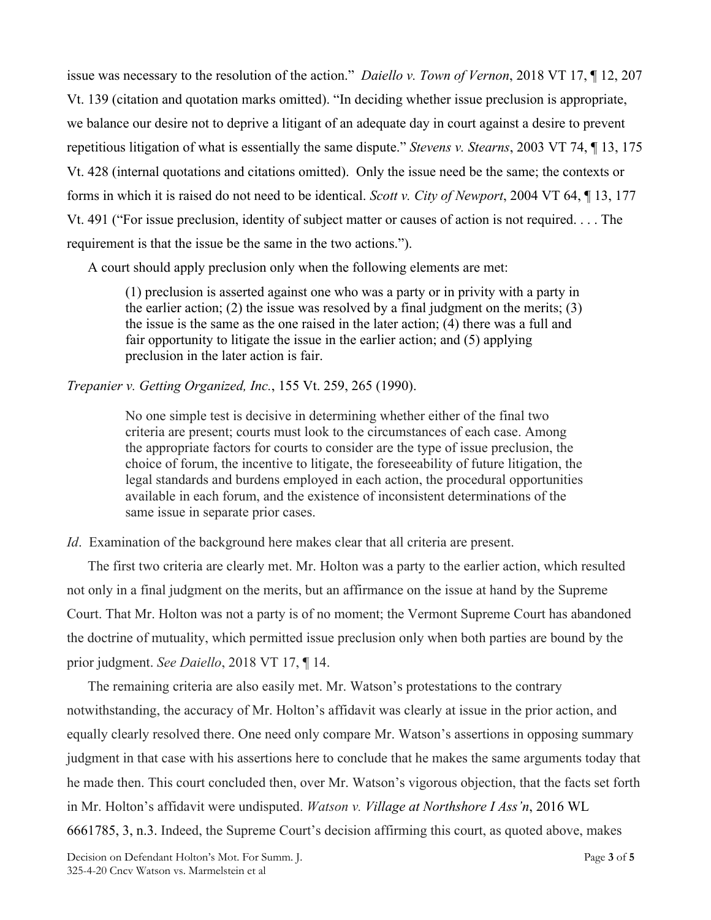issue was necessary to the resolution of the action." *Daiello v. Town of Vernon*, 2018 VT 17, ¶ 12, 207 Vt. 139 (citation and quotation marks omitted). "In deciding whether issue preclusion is appropriate, we balance our desire not to deprive a litigant of an adequate day in court against a desire to prevent repetitious litigation of what is essentially the same dispute." *Stevens v. Stearns*, 2003 VT 74, ¶ 13, 175 Vt. 428 (internal quotations and citations omitted). Only the issue need be the same; the contexts or forms in which it is raised do not need to be identical. *Scott v. City of Newport*, 2004 VT 64, ¶ 13, 177 Vt. 491 ("For issue preclusion, identity of subject matter or causes of action is not required. . . . The requirement is that the issue be the same in the two actions.").

A court should apply preclusion only when the following elements are met:

(1) preclusion is asserted against one who was a party or in privity with a party in the earlier action; (2) the issue was resolved by a final judgment on the merits; (3) the issue is the same as the one raised in the later action; (4) there was a full and fair opportunity to litigate the issue in the earlier action; and (5) applying preclusion in the later action is fair.

### *Trepanier v. Getting Organized, Inc.*, 155 Vt. 259, 265 (1990).

No one simple test is decisive in determining whether either of the final two criteria are present; courts must look to the circumstances of each case. Among the appropriate factors for courts to consider are the type of issue preclusion, the choice of forum, the incentive to litigate, the foreseeability of future litigation, the legal standards and burdens employed in each action, the procedural opportunities available in each forum, and the existence of inconsistent determinations of the same issue in separate prior cases.

*Id.* Examination of the background here makes clear that all criteria are present.

The first two criteria are clearly met. Mr. Holton was a party to the earlier action, which resulted not only in a final judgment on the merits, but an affirmance on the issue at hand by the Supreme Court. That Mr. Holton was not a party is of no moment; the Vermont Supreme Court has abandoned the doctrine of mutuality, which permitted issue preclusion only when both parties are bound by the prior judgment. *See Daiello*, 2018 VT 17, ¶ 14.

The remaining criteria are also easily met. Mr. Watson's protestations to the contrary notwithstanding, the accuracy of Mr. Holton's affidavit was clearly at issue in the prior action, and equally clearly resolved there. One need only compare Mr. Watson's assertions in opposing summary judgment in that case with his assertions here to conclude that he makes the same arguments today that he made then. This court concluded then, over Mr. Watson's vigorous objection, that the facts set forth in Mr. Holton's affidavit were undisputed. *Watson v. Village at Northshore I Ass'n*, 2016 WL 6661785, 3, n.3. Indeed, the Supreme Court's decision affirming this court, as quoted above, makes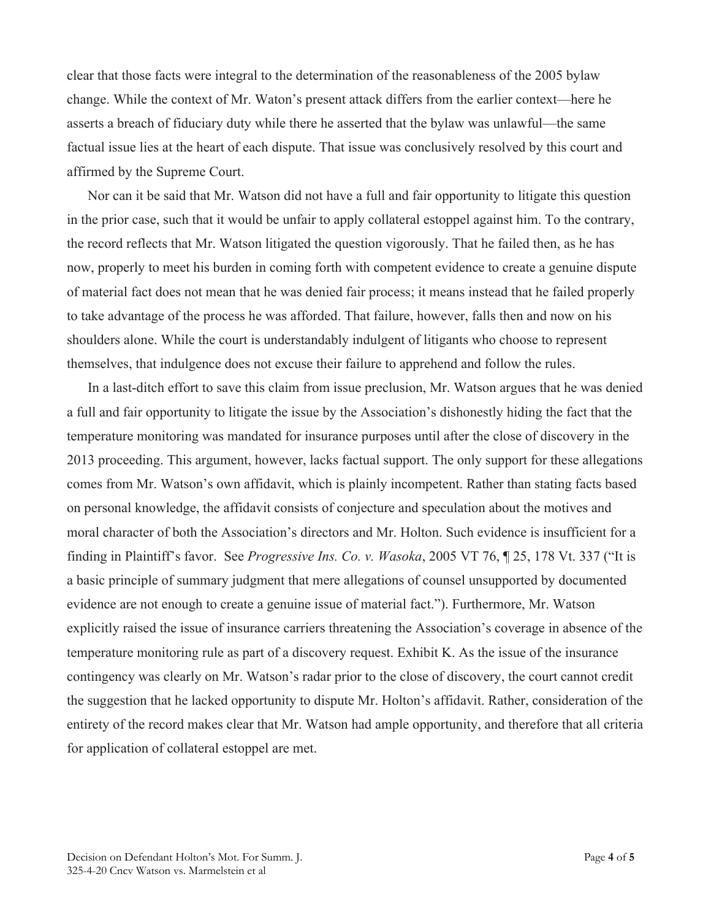clear that those facts were integral to the determination of the reasonableness of the 2005 bylaw change. While the context of Mr. Waton's present attack differs from the earlier context—here he asserts a breach of fiduciary duty while there he asserted that the bylaw was unlawful—the same factual issue lies at the heart of each dispute. That issue was conclusively resolved by this court and affirmed by the Supreme Court.

Nor can it be said that Mr. Watson did not have a full and fair opportunity to litigate this question in the prior case, such that it would be unfair to apply collateral estoppel against him. To the contrary, the record reflects that Mr. Watson litigated the question vigorously. That he failed then, as he has now, properly to meet his burden in coming forth with competent evidence to create a genuine dispute of material fact does not mean that he was denied fair process; it means instead that he failed properly to take advantage of the process he was afforded. That failure, however, falls then and now on his shoulders alone. While the court is understandably indulgent of litigants who choose to represent themselves, that indulgence does not excuse their failure to apprehend and follow the rules.

In a last-ditch effort to save this claim from issue preclusion, Mr. Watson argues that he was denied a full and fair opportunity to litigate the issue by the Association's dishonestly hiding the fact that the temperature monitoring was mandated for insurance purposes until after the close of discovery in the 2013 proceeding. This argument, however, lacks factual support. The only support for these allegations comes from Mr. Watson's own affidavit, which is plainly incompetent. Rather than stating facts based on personal knowledge, the affidavit consists of conjecture and speculation about the motives and moral character of both the Association's directors and Mr. Holton. Such evidence is insufficient for a finding in Plaintiff's favor. See *Progressive Ins. Co. v. Wasoka*, 2005 VT 76, ¶ 25, 178 Vt. 337 ("It is a basic principle of summary judgment that mere allegations of counsel unsupported by documented evidence are not enough to create a genuine issue of material fact."). Furthermore, Mr. Watson explicitly raised the issue of insurance carriers threatening the Association's coverage in absence of the temperature monitoring rule as part of a discovery request. Exhibit K. As the issue of the insurance contingency was clearly on Mr. Watson's radar prior to the close of discovery, the court cannot credit the suggestion that he lacked opportunity to dispute Mr. Holton's affidavit. Rather, consideration of the entirety of the record makes clear that Mr. Watson had ample opportunity, and therefore that all criteria for application of collateral estoppel are met.